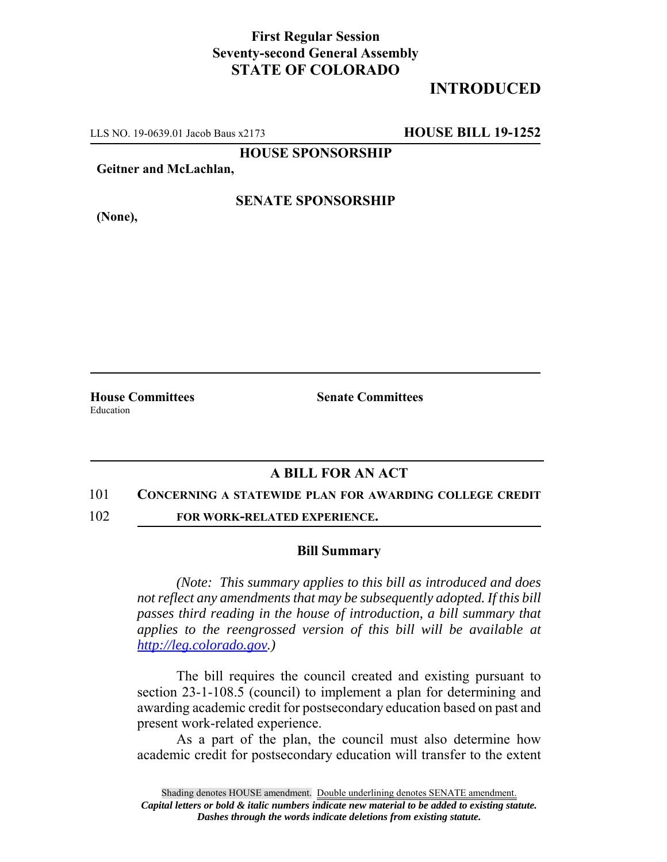## **First Regular Session Seventy-second General Assembly STATE OF COLORADO**

# **INTRODUCED**

LLS NO. 19-0639.01 Jacob Baus x2173 **HOUSE BILL 19-1252**

**HOUSE SPONSORSHIP**

**Geitner and McLachlan,**

**(None),**

### **SENATE SPONSORSHIP**

**House Committees Senate Committees** Education

### **A BILL FOR AN ACT**

#### 101 **CONCERNING A STATEWIDE PLAN FOR AWARDING COLLEGE CREDIT**

102 **FOR WORK-RELATED EXPERIENCE.**

#### **Bill Summary**

*(Note: This summary applies to this bill as introduced and does not reflect any amendments that may be subsequently adopted. If this bill passes third reading in the house of introduction, a bill summary that applies to the reengrossed version of this bill will be available at http://leg.colorado.gov.)*

The bill requires the council created and existing pursuant to section 23-1-108.5 (council) to implement a plan for determining and awarding academic credit for postsecondary education based on past and present work-related experience.

As a part of the plan, the council must also determine how academic credit for postsecondary education will transfer to the extent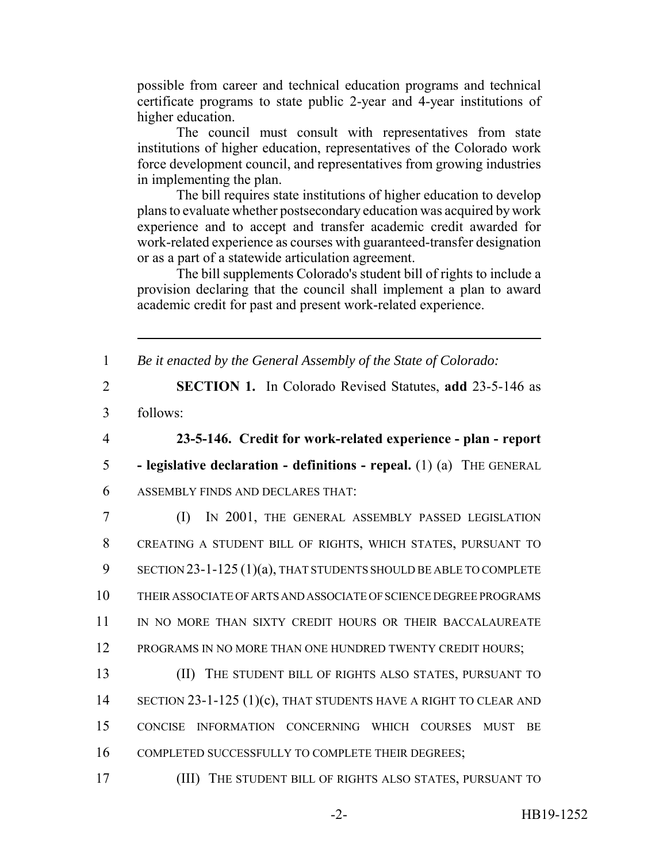possible from career and technical education programs and technical certificate programs to state public 2-year and 4-year institutions of higher education.

The council must consult with representatives from state institutions of higher education, representatives of the Colorado work force development council, and representatives from growing industries in implementing the plan.

The bill requires state institutions of higher education to develop plans to evaluate whether postsecondary education was acquired by work experience and to accept and transfer academic credit awarded for work-related experience as courses with guaranteed-transfer designation or as a part of a statewide articulation agreement.

The bill supplements Colorado's student bill of rights to include a provision declaring that the council shall implement a plan to award academic credit for past and present work-related experience.

1 *Be it enacted by the General Assembly of the State of Colorado:*

- 2 **SECTION 1.** In Colorado Revised Statutes, **add** 23-5-146 as 3 follows:
- 

4 **23-5-146. Credit for work-related experience - plan - report**

5 **- legislative declaration - definitions - repeal.** (1) (a) THE GENERAL

6 ASSEMBLY FINDS AND DECLARES THAT:

7 (I) IN 2001, THE GENERAL ASSEMBLY PASSED LEGISLATION 8 CREATING A STUDENT BILL OF RIGHTS, WHICH STATES, PURSUANT TO 9 SECTION 23-1-125 (1)(a), THAT STUDENTS SHOULD BE ABLE TO COMPLETE 10 THEIR ASSOCIATE OF ARTS AND ASSOCIATE OF SCIENCE DEGREE PROGRAMS 11 IN NO MORE THAN SIXTY CREDIT HOURS OR THEIR BACCALAUREATE 12 PROGRAMS IN NO MORE THAN ONE HUNDRED TWENTY CREDIT HOURS;

13 (II) THE STUDENT BILL OF RIGHTS ALSO STATES, PURSUANT TO 14 SECTION 23-1-125 (1)(c), THAT STUDENTS HAVE A RIGHT TO CLEAR AND 15 CONCISE INFORMATION CONCERNING WHICH COURSES MUST BE 16 COMPLETED SUCCESSFULLY TO COMPLETE THEIR DEGREES;

17 (III) THE STUDENT BILL OF RIGHTS ALSO STATES, PURSUANT TO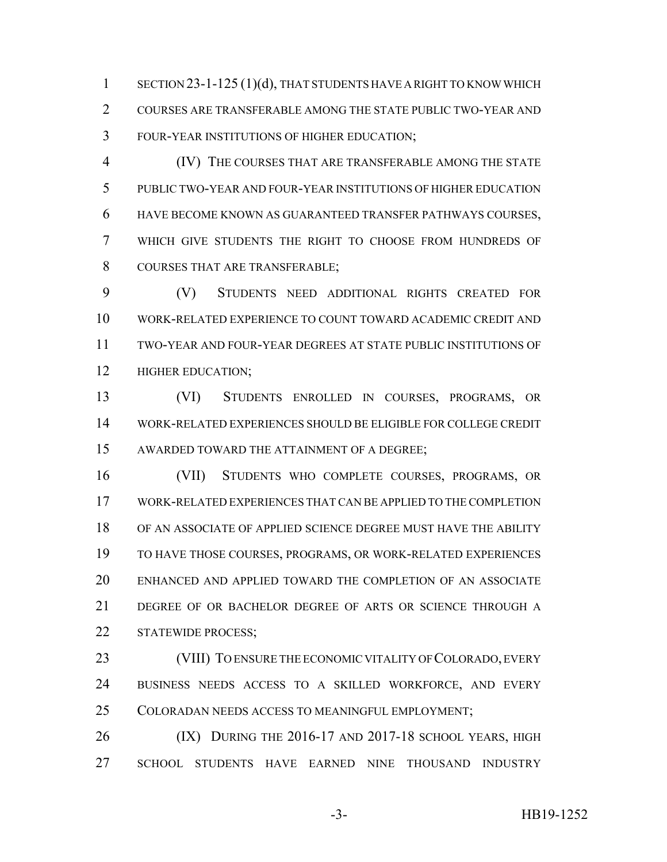1 SECTION 23-1-125 (1)(d), THAT STUDENTS HAVE A RIGHT TO KNOW WHICH COURSES ARE TRANSFERABLE AMONG THE STATE PUBLIC TWO-YEAR AND FOUR-YEAR INSTITUTIONS OF HIGHER EDUCATION;

 (IV) THE COURSES THAT ARE TRANSFERABLE AMONG THE STATE PUBLIC TWO-YEAR AND FOUR-YEAR INSTITUTIONS OF HIGHER EDUCATION HAVE BECOME KNOWN AS GUARANTEED TRANSFER PATHWAYS COURSES, WHICH GIVE STUDENTS THE RIGHT TO CHOOSE FROM HUNDREDS OF 8 COURSES THAT ARE TRANSFERABLE;

 (V) STUDENTS NEED ADDITIONAL RIGHTS CREATED FOR WORK-RELATED EXPERIENCE TO COUNT TOWARD ACADEMIC CREDIT AND TWO-YEAR AND FOUR-YEAR DEGREES AT STATE PUBLIC INSTITUTIONS OF **HIGHER EDUCATION**;

 (VI) STUDENTS ENROLLED IN COURSES, PROGRAMS, OR WORK-RELATED EXPERIENCES SHOULD BE ELIGIBLE FOR COLLEGE CREDIT AWARDED TOWARD THE ATTAINMENT OF A DEGREE;

 (VII) STUDENTS WHO COMPLETE COURSES, PROGRAMS, OR WORK-RELATED EXPERIENCES THAT CAN BE APPLIED TO THE COMPLETION OF AN ASSOCIATE OF APPLIED SCIENCE DEGREE MUST HAVE THE ABILITY TO HAVE THOSE COURSES, PROGRAMS, OR WORK-RELATED EXPERIENCES ENHANCED AND APPLIED TOWARD THE COMPLETION OF AN ASSOCIATE DEGREE OF OR BACHELOR DEGREE OF ARTS OR SCIENCE THROUGH A STATEWIDE PROCESS;

 (VIII) TO ENSURE THE ECONOMIC VITALITY OF COLORADO, EVERY BUSINESS NEEDS ACCESS TO A SKILLED WORKFORCE, AND EVERY COLORADAN NEEDS ACCESS TO MEANINGFUL EMPLOYMENT;

26 (IX) DURING THE 2016-17 AND 2017-18 SCHOOL YEARS, HIGH SCHOOL STUDENTS HAVE EARNED NINE THOUSAND INDUSTRY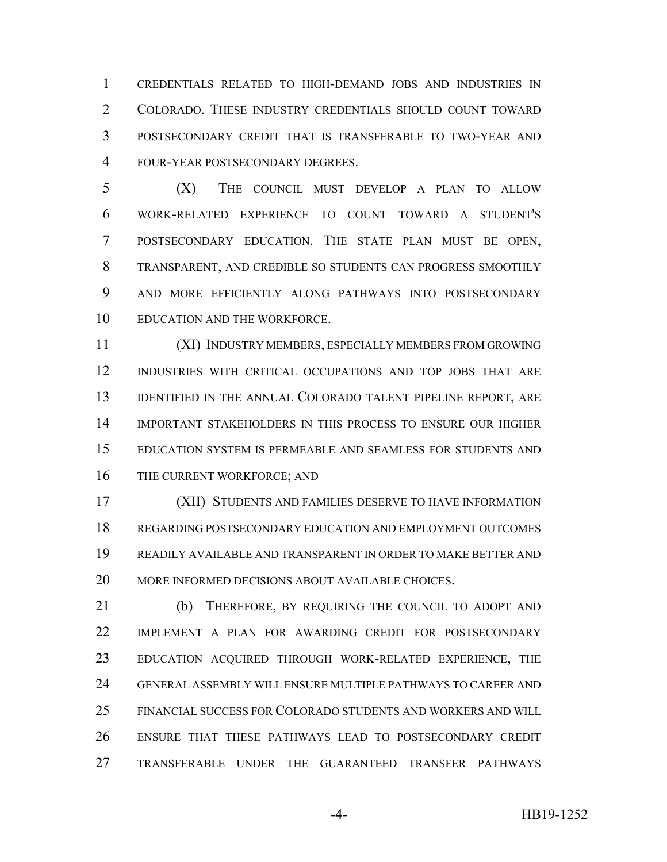CREDENTIALS RELATED TO HIGH-DEMAND JOBS AND INDUSTRIES IN COLORADO. THESE INDUSTRY CREDENTIALS SHOULD COUNT TOWARD POSTSECONDARY CREDIT THAT IS TRANSFERABLE TO TWO-YEAR AND FOUR-YEAR POSTSECONDARY DEGREES.

 (X) THE COUNCIL MUST DEVELOP A PLAN TO ALLOW WORK-RELATED EXPERIENCE TO COUNT TOWARD A STUDENT'S POSTSECONDARY EDUCATION. THE STATE PLAN MUST BE OPEN, TRANSPARENT, AND CREDIBLE SO STUDENTS CAN PROGRESS SMOOTHLY AND MORE EFFICIENTLY ALONG PATHWAYS INTO POSTSECONDARY EDUCATION AND THE WORKFORCE.

 (XI) INDUSTRY MEMBERS, ESPECIALLY MEMBERS FROM GROWING INDUSTRIES WITH CRITICAL OCCUPATIONS AND TOP JOBS THAT ARE 13 IDENTIFIED IN THE ANNUAL COLORADO TALENT PIPELINE REPORT, ARE IMPORTANT STAKEHOLDERS IN THIS PROCESS TO ENSURE OUR HIGHER EDUCATION SYSTEM IS PERMEABLE AND SEAMLESS FOR STUDENTS AND 16 THE CURRENT WORKFORCE; AND

 (XII) STUDENTS AND FAMILIES DESERVE TO HAVE INFORMATION REGARDING POSTSECONDARY EDUCATION AND EMPLOYMENT OUTCOMES READILY AVAILABLE AND TRANSPARENT IN ORDER TO MAKE BETTER AND MORE INFORMED DECISIONS ABOUT AVAILABLE CHOICES.

 (b) THEREFORE, BY REQUIRING THE COUNCIL TO ADOPT AND IMPLEMENT A PLAN FOR AWARDING CREDIT FOR POSTSECONDARY EDUCATION ACQUIRED THROUGH WORK-RELATED EXPERIENCE, THE GENERAL ASSEMBLY WILL ENSURE MULTIPLE PATHWAYS TO CAREER AND FINANCIAL SUCCESS FOR COLORADO STUDENTS AND WORKERS AND WILL ENSURE THAT THESE PATHWAYS LEAD TO POSTSECONDARY CREDIT TRANSFERABLE UNDER THE GUARANTEED TRANSFER PATHWAYS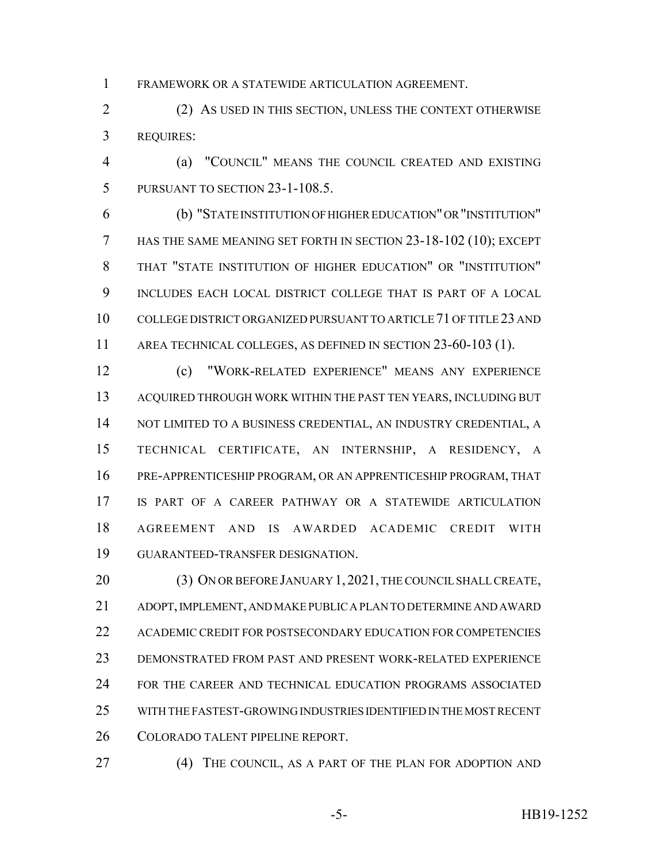FRAMEWORK OR A STATEWIDE ARTICULATION AGREEMENT.

 (2) AS USED IN THIS SECTION, UNLESS THE CONTEXT OTHERWISE REQUIRES:

 (a) "COUNCIL" MEANS THE COUNCIL CREATED AND EXISTING PURSUANT TO SECTION 23-1-108.5.

 (b) "STATE INSTITUTION OF HIGHER EDUCATION" OR "INSTITUTION" HAS THE SAME MEANING SET FORTH IN SECTION 23-18-102 (10); EXCEPT THAT "STATE INSTITUTION OF HIGHER EDUCATION" OR "INSTITUTION" INCLUDES EACH LOCAL DISTRICT COLLEGE THAT IS PART OF A LOCAL COLLEGE DISTRICT ORGANIZED PURSUANT TO ARTICLE 71 OF TITLE 23 AND AREA TECHNICAL COLLEGES, AS DEFINED IN SECTION 23-60-103 (1).

 (c) "WORK-RELATED EXPERIENCE" MEANS ANY EXPERIENCE ACQUIRED THROUGH WORK WITHIN THE PAST TEN YEARS, INCLUDING BUT 14 NOT LIMITED TO A BUSINESS CREDENTIAL, AN INDUSTRY CREDENTIAL, A TECHNICAL CERTIFICATE, AN INTERNSHIP, A RESIDENCY, A PRE-APPRENTICESHIP PROGRAM, OR AN APPRENTICESHIP PROGRAM, THAT IS PART OF A CAREER PATHWAY OR A STATEWIDE ARTICULATION AGREEMENT AND IS AWARDED ACADEMIC CREDIT WITH GUARANTEED-TRANSFER DESIGNATION.

20 (3) ON OR BEFORE JANUARY 1, 2021, THE COUNCIL SHALL CREATE, ADOPT, IMPLEMENT, AND MAKE PUBLIC A PLAN TO DETERMINE AND AWARD ACADEMIC CREDIT FOR POSTSECONDARY EDUCATION FOR COMPETENCIES DEMONSTRATED FROM PAST AND PRESENT WORK-RELATED EXPERIENCE FOR THE CAREER AND TECHNICAL EDUCATION PROGRAMS ASSOCIATED WITH THE FASTEST-GROWING INDUSTRIES IDENTIFIED IN THE MOST RECENT COLORADO TALENT PIPELINE REPORT.

(4) THE COUNCIL, AS A PART OF THE PLAN FOR ADOPTION AND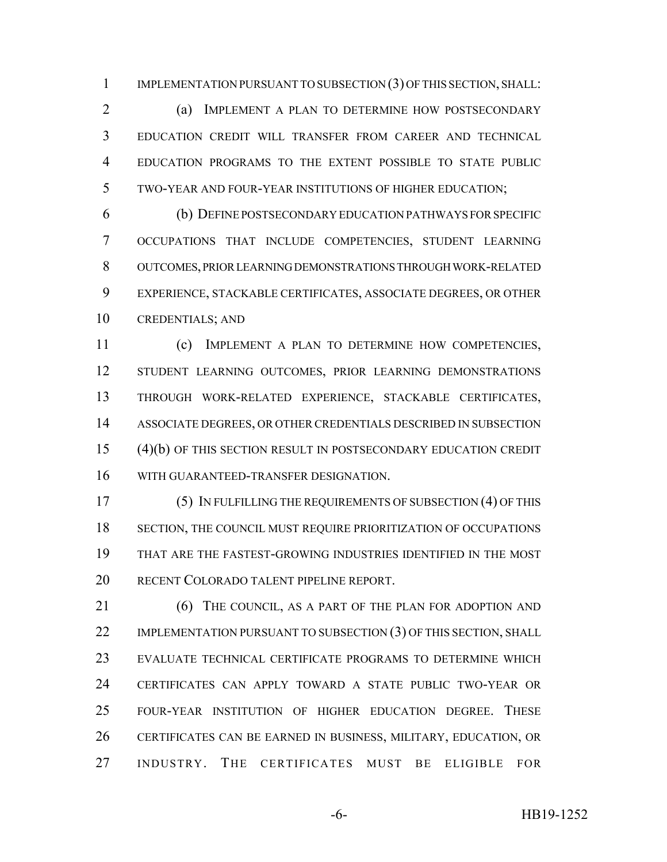IMPLEMENTATION PURSUANT TO SUBSECTION (3) OF THIS SECTION, SHALL:

 (a) IMPLEMENT A PLAN TO DETERMINE HOW POSTSECONDARY EDUCATION CREDIT WILL TRANSFER FROM CAREER AND TECHNICAL EDUCATION PROGRAMS TO THE EXTENT POSSIBLE TO STATE PUBLIC TWO-YEAR AND FOUR-YEAR INSTITUTIONS OF HIGHER EDUCATION;

 (b) DEFINE POSTSECONDARY EDUCATION PATHWAYS FOR SPECIFIC OCCUPATIONS THAT INCLUDE COMPETENCIES, STUDENT LEARNING OUTCOMES, PRIOR LEARNING DEMONSTRATIONS THROUGH WORK-RELATED EXPERIENCE, STACKABLE CERTIFICATES, ASSOCIATE DEGREES, OR OTHER CREDENTIALS; AND

 (c) IMPLEMENT A PLAN TO DETERMINE HOW COMPETENCIES, STUDENT LEARNING OUTCOMES, PRIOR LEARNING DEMONSTRATIONS THROUGH WORK-RELATED EXPERIENCE, STACKABLE CERTIFICATES, ASSOCIATE DEGREES, OR OTHER CREDENTIALS DESCRIBED IN SUBSECTION (4)(b) OF THIS SECTION RESULT IN POSTSECONDARY EDUCATION CREDIT WITH GUARANTEED-TRANSFER DESIGNATION.

 (5) IN FULFILLING THE REQUIREMENTS OF SUBSECTION (4) OF THIS SECTION, THE COUNCIL MUST REQUIRE PRIORITIZATION OF OCCUPATIONS THAT ARE THE FASTEST-GROWING INDUSTRIES IDENTIFIED IN THE MOST RECENT COLORADO TALENT PIPELINE REPORT.

21 (6) THE COUNCIL, AS A PART OF THE PLAN FOR ADOPTION AND 22 IMPLEMENTATION PURSUANT TO SUBSECTION (3) OF THIS SECTION, SHALL EVALUATE TECHNICAL CERTIFICATE PROGRAMS TO DETERMINE WHICH CERTIFICATES CAN APPLY TOWARD A STATE PUBLIC TWO-YEAR OR FOUR-YEAR INSTITUTION OF HIGHER EDUCATION DEGREE. THESE CERTIFICATES CAN BE EARNED IN BUSINESS, MILITARY, EDUCATION, OR INDUSTRY. THE CERTIFICATES MUST BE ELIGIBLE FOR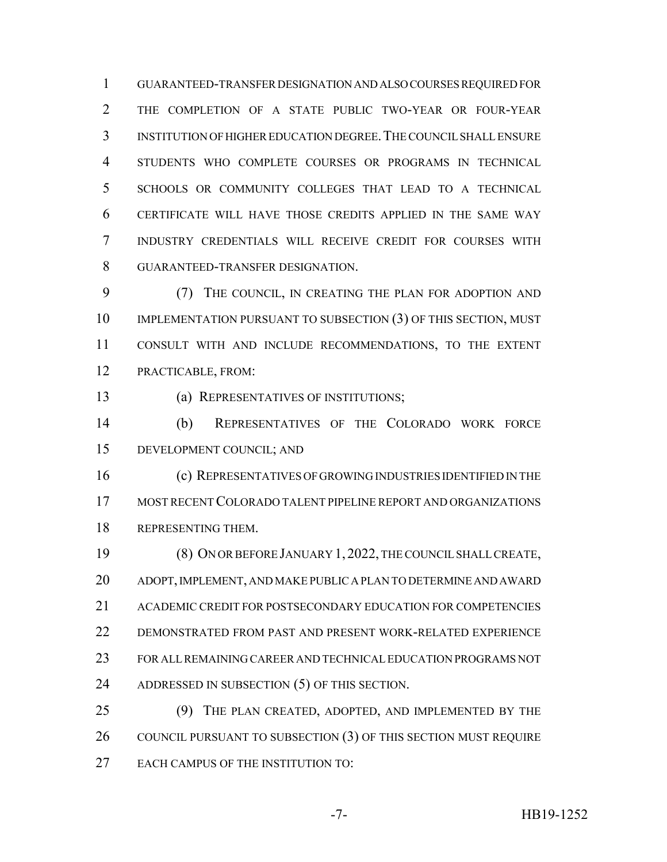GUARANTEED-TRANSFER DESIGNATION AND ALSO COURSES REQUIRED FOR THE COMPLETION OF A STATE PUBLIC TWO-YEAR OR FOUR-YEAR INSTITUTION OF HIGHER EDUCATION DEGREE.THE COUNCIL SHALL ENSURE STUDENTS WHO COMPLETE COURSES OR PROGRAMS IN TECHNICAL SCHOOLS OR COMMUNITY COLLEGES THAT LEAD TO A TECHNICAL CERTIFICATE WILL HAVE THOSE CREDITS APPLIED IN THE SAME WAY INDUSTRY CREDENTIALS WILL RECEIVE CREDIT FOR COURSES WITH GUARANTEED-TRANSFER DESIGNATION.

 (7) THE COUNCIL, IN CREATING THE PLAN FOR ADOPTION AND 10 IMPLEMENTATION PURSUANT TO SUBSECTION (3) OF THIS SECTION, MUST CONSULT WITH AND INCLUDE RECOMMENDATIONS, TO THE EXTENT PRACTICABLE, FROM:

(a) REPRESENTATIVES OF INSTITUTIONS;

 (b) REPRESENTATIVES OF THE COLORADO WORK FORCE DEVELOPMENT COUNCIL; AND

 (c) REPRESENTATIVES OF GROWING INDUSTRIES IDENTIFIED IN THE MOST RECENT COLORADO TALENT PIPELINE REPORT AND ORGANIZATIONS REPRESENTING THEM.

 (8) ON OR BEFORE JANUARY 1, 2022, THE COUNCIL SHALL CREATE, ADOPT, IMPLEMENT, AND MAKE PUBLIC A PLAN TO DETERMINE AND AWARD ACADEMIC CREDIT FOR POSTSECONDARY EDUCATION FOR COMPETENCIES DEMONSTRATED FROM PAST AND PRESENT WORK-RELATED EXPERIENCE FOR ALL REMAINING CAREER AND TECHNICAL EDUCATION PROGRAMS NOT ADDRESSED IN SUBSECTION (5) OF THIS SECTION.

 (9) THE PLAN CREATED, ADOPTED, AND IMPLEMENTED BY THE 26 COUNCIL PURSUANT TO SUBSECTION (3) OF THIS SECTION MUST REQUIRE 27 EACH CAMPUS OF THE INSTITUTION TO: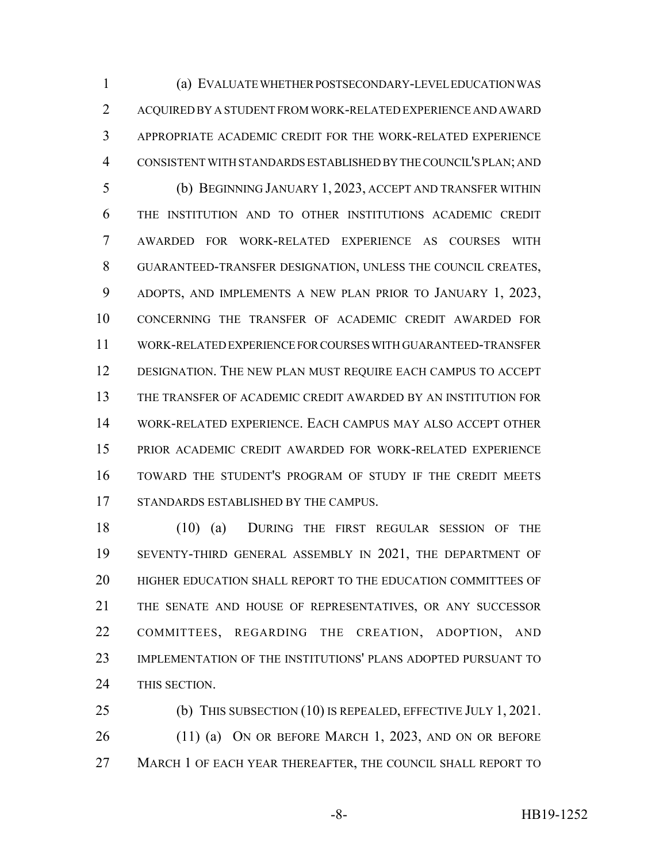(a) EVALUATE WHETHER POSTSECONDARY-LEVEL EDUCATION WAS ACQUIRED BY A STUDENT FROM WORK-RELATED EXPERIENCE AND AWARD APPROPRIATE ACADEMIC CREDIT FOR THE WORK-RELATED EXPERIENCE CONSISTENT WITH STANDARDS ESTABLISHED BY THE COUNCIL'S PLAN; AND (b) BEGINNING JANUARY 1, 2023, ACCEPT AND TRANSFER WITHIN THE INSTITUTION AND TO OTHER INSTITUTIONS ACADEMIC CREDIT AWARDED FOR WORK-RELATED EXPERIENCE AS COURSES WITH GUARANTEED-TRANSFER DESIGNATION, UNLESS THE COUNCIL CREATES, ADOPTS, AND IMPLEMENTS A NEW PLAN PRIOR TO JANUARY 1, 2023, CONCERNING THE TRANSFER OF ACADEMIC CREDIT AWARDED FOR WORK-RELATED EXPERIENCE FOR COURSES WITH GUARANTEED-TRANSFER DESIGNATION. THE NEW PLAN MUST REQUIRE EACH CAMPUS TO ACCEPT THE TRANSFER OF ACADEMIC CREDIT AWARDED BY AN INSTITUTION FOR

 WORK-RELATED EXPERIENCE. EACH CAMPUS MAY ALSO ACCEPT OTHER PRIOR ACADEMIC CREDIT AWARDED FOR WORK-RELATED EXPERIENCE TOWARD THE STUDENT'S PROGRAM OF STUDY IF THE CREDIT MEETS STANDARDS ESTABLISHED BY THE CAMPUS.

 (10) (a) DURING THE FIRST REGULAR SESSION OF THE SEVENTY-THIRD GENERAL ASSEMBLY IN 2021, THE DEPARTMENT OF HIGHER EDUCATION SHALL REPORT TO THE EDUCATION COMMITTEES OF THE SENATE AND HOUSE OF REPRESENTATIVES, OR ANY SUCCESSOR COMMITTEES, REGARDING THE CREATION, ADOPTION, AND IMPLEMENTATION OF THE INSTITUTIONS' PLANS ADOPTED PURSUANT TO THIS SECTION.

 (b) THIS SUBSECTION (10) IS REPEALED, EFFECTIVE JULY 1, 2021. 26 (11) (a) ON OR BEFORE MARCH 1, 2023, AND ON OR BEFORE MARCH 1 OF EACH YEAR THEREAFTER, THE COUNCIL SHALL REPORT TO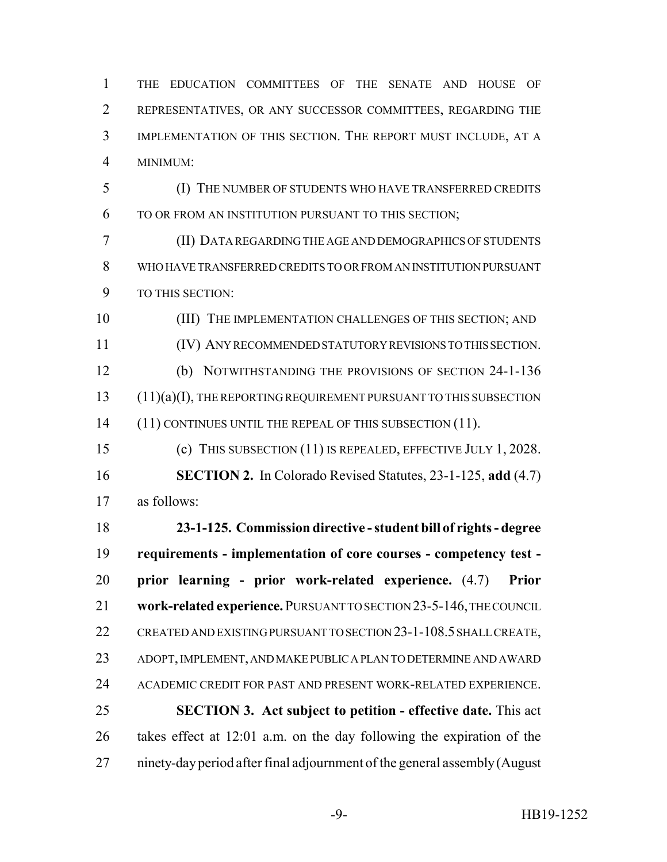THE EDUCATION COMMITTEES OF THE SENATE AND HOUSE OF REPRESENTATIVES, OR ANY SUCCESSOR COMMITTEES, REGARDING THE IMPLEMENTATION OF THIS SECTION. THE REPORT MUST INCLUDE, AT A MINIMUM:

 (I) THE NUMBER OF STUDENTS WHO HAVE TRANSFERRED CREDITS TO OR FROM AN INSTITUTION PURSUANT TO THIS SECTION;

 (II) DATA REGARDING THE AGE AND DEMOGRAPHICS OF STUDENTS WHO HAVE TRANSFERRED CREDITS TO OR FROM AN INSTITUTION PURSUANT TO THIS SECTION:

10 (III) THE IMPLEMENTATION CHALLENGES OF THIS SECTION; AND (IV) ANY RECOMMENDED STATUTORY REVISIONS TO THIS SECTION. (b) NOTWITHSTANDING THE PROVISIONS OF SECTION 24-1-136 (11)(a)(I), THE REPORTING REQUIREMENT PURSUANT TO THIS SUBSECTION 14 (11) CONTINUES UNTIL THE REPEAL OF THIS SUBSECTION (11).

 (c) THIS SUBSECTION (11) IS REPEALED, EFFECTIVE JULY 1, 2028. **SECTION 2.** In Colorado Revised Statutes, 23-1-125, **add** (4.7) as follows:

 **23-1-125. Commission directive - student bill of rights - degree requirements - implementation of core courses - competency test - prior learning - prior work-related experience.** (4.7) **Prior work-related experience.** PURSUANT TO SECTION 23-5-146, THE COUNCIL CREATED AND EXISTING PURSUANT TO SECTION 23-1-108.5 SHALL CREATE, ADOPT, IMPLEMENT, AND MAKE PUBLIC A PLAN TO DETERMINE AND AWARD ACADEMIC CREDIT FOR PAST AND PRESENT WORK-RELATED EXPERIENCE. **SECTION 3. Act subject to petition - effective date.** This act takes effect at 12:01 a.m. on the day following the expiration of the ninety-day period after final adjournment of the general assembly (August